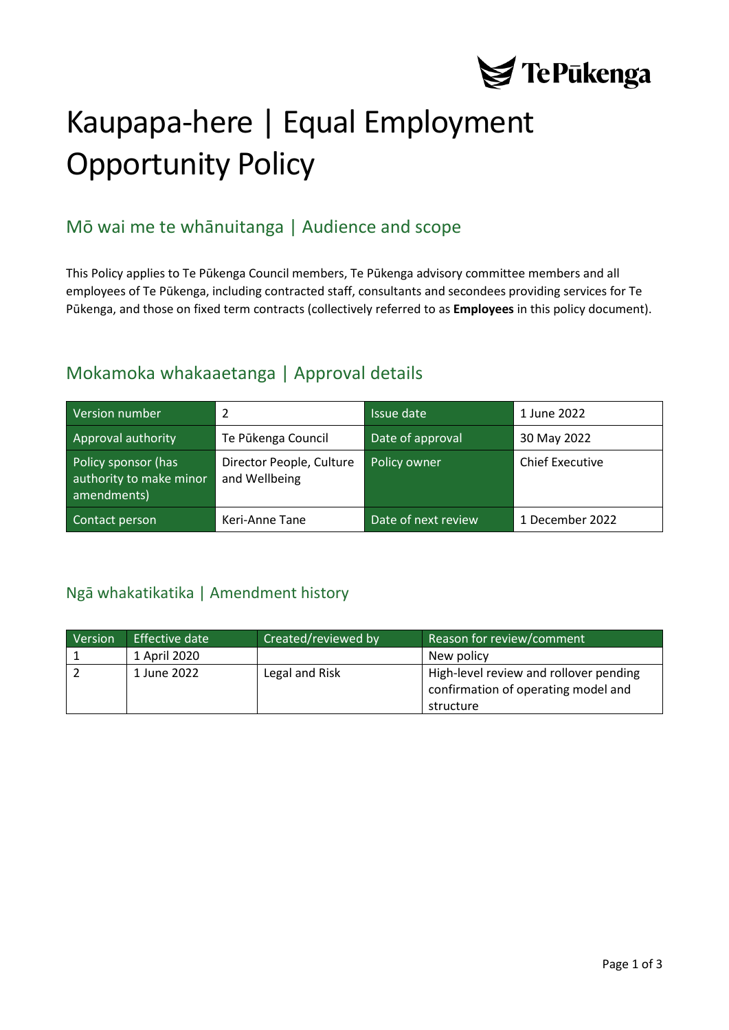

# Kaupapa-here | Equal Employment Opportunity Policy

# Mō wai me te whānuitanga | Audience and scope

This Policy applies to Te Pūkenga Council members, Te Pūkenga advisory committee members and all employees of Te Pūkenga, including contracted staff, consultants and secondees providing services for Te Pūkenga, and those on fixed term contracts (collectively referred to as **Employees** in this policy document).

### Mokamoka whakaaetanga | Approval details

| Version number                                                | 2                                         | Issue date          | 1 June 2022            |
|---------------------------------------------------------------|-------------------------------------------|---------------------|------------------------|
| Approval authority                                            | Te Pūkenga Council                        | Date of approval    | 30 May 2022            |
| Policy sponsor (has<br>authority to make minor<br>amendments) | Director People, Culture<br>and Wellbeing | Policy owner        | <b>Chief Executive</b> |
| Contact person                                                | Keri-Anne Tane                            | Date of next review | 1 December 2022        |

### <span id="page-0-0"></span>Ngā whakatikatika | Amendment history

| Version | Effective date | Created/reviewed by | Reason for review/comment                                                                  |
|---------|----------------|---------------------|--------------------------------------------------------------------------------------------|
|         | 1 April 2020   |                     | New policy                                                                                 |
|         | 1 June 2022    | Legal and Risk      | High-level review and rollover pending<br>confirmation of operating model and<br>structure |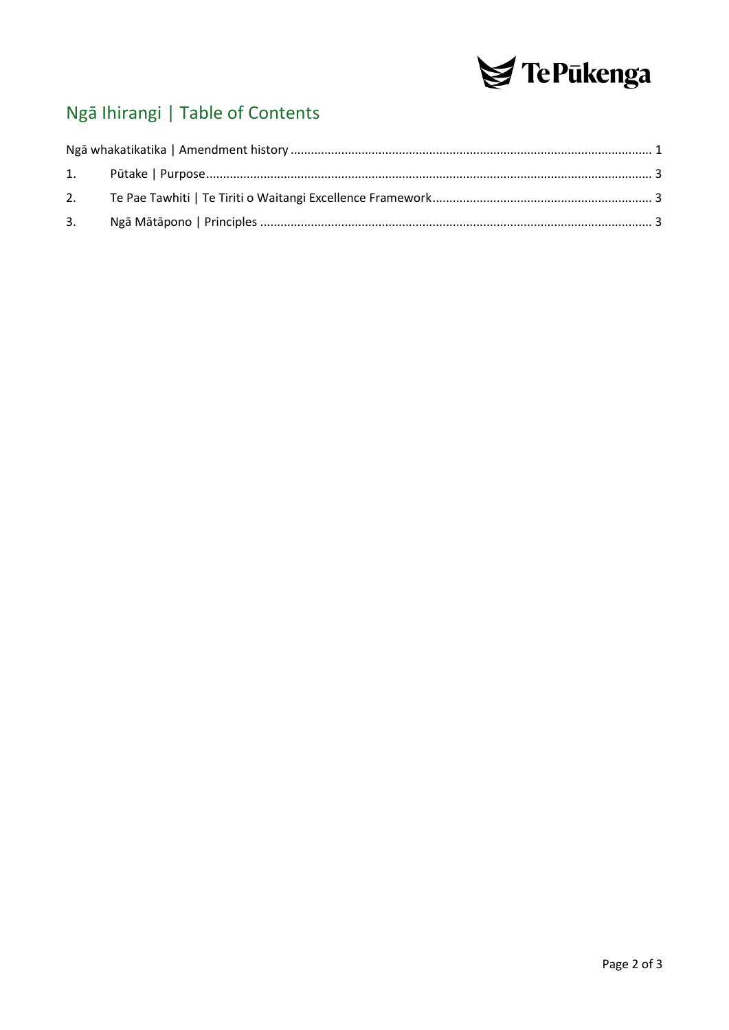

# Ngā Ihirangi | Table of Contents